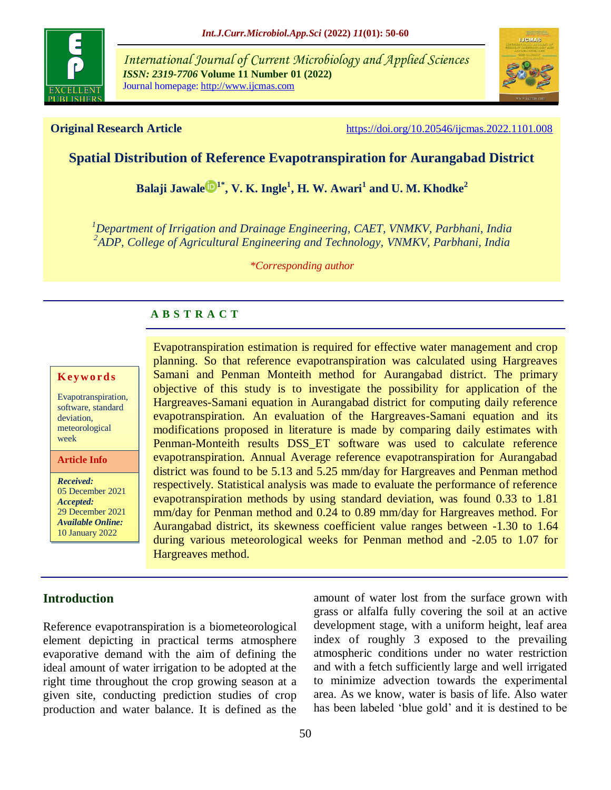

*International Journal of Current Microbiology and Applied Sciences ISSN: 2319-7706* **Volume 11 Number 01 (2022)**  Journal homepage: http://www.ijcmas.com



**Original Research Article** <https://doi.org/10.20546/ijcmas.2022.1101.008>

## **Spatial Distribution of Reference Evapotranspiration for Aurangabad District**

**[Balaji Jawale](https://orcid.org/0000-0002-9393-515X) 1\* , V. K. Ingle<sup>1</sup> , H. W. Awari<sup>1</sup> and U. M. Khodke<sup>2</sup>**

*<sup>1</sup>Department of Irrigation and Drainage Engineering, CAET, VNMKV, Parbhani, India 2 ADP, College of Agricultural Engineering and Technology, VNMKV, Parbhani, India*

*\*Corresponding author*

### **A B S T R A C T**

#### **K ey w o rd s**

Evapotranspiration, software, standard deviation, meteorological week

**Article Info**

*Received:*  05 December 2021 *Accepted:*  29 December 2021 *Available Online:* 10 January 2022

Evapotranspiration estimation is required for effective water management and crop planning. So that reference evapotranspiration was calculated using Hargreaves Samani and Penman Monteith method for Aurangabad district. The primary objective of this study is to investigate the possibility for application of the Hargreaves-Samani equation in Aurangabad district for computing daily reference evapotranspiration. An evaluation of the Hargreaves-Samani equation and its modifications proposed in literature is made by comparing daily estimates with Penman-Monteith results DSS\_ET software was used to calculate reference evapotranspiration. Annual Average reference evapotranspiration for Aurangabad district was found to be 5.13 and 5.25 mm/day for Hargreaves and Penman method respectively. Statistical analysis was made to evaluate the performance of reference evapotranspiration methods by using standard deviation, was found 0.33 to 1.81 mm/day for Penman method and 0.24 to 0.89 mm/day for Hargreaves method. For Aurangabad district, its skewness coefficient value ranges between -1.30 to 1.64 during various meteorological weeks for Penman method and -2.05 to 1.07 for Hargreaves method.

## **Introduction**

Reference evapotranspiration is a biometeorological element depicting in practical terms atmosphere evaporative demand with the aim of defining the ideal amount of water irrigation to be adopted at the right time throughout the crop growing season at a given site, conducting prediction studies of crop production and water balance. It is defined as the amount of water lost from the surface grown with grass or alfalfa fully covering the soil at an active development stage, with a uniform height, leaf area index of roughly 3 exposed to the prevailing atmospheric conditions under no water restriction and with a fetch sufficiently large and well irrigated to minimize advection towards the experimental area. As we know, water is basis of life. Also water has been labeled 'blue gold' and it is destined to be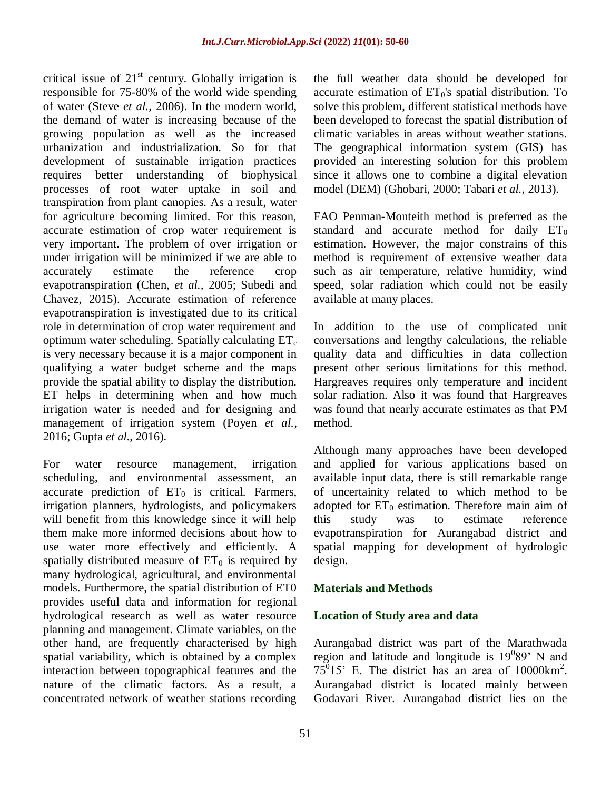critical issue of  $21<sup>st</sup>$  century. Globally irrigation is responsible for 75-80% of the world wide spending of water (Steve *et al.,* 2006). In the modern world, the demand of water is increasing because of the growing population as well as the increased urbanization and industrialization. So for that development of sustainable irrigation practices requires better understanding of biophysical processes of root water uptake in soil and transpiration from plant canopies. As a result, water for agriculture becoming limited. For this reason, accurate estimation of crop water requirement is very important. The problem of over irrigation or under irrigation will be minimized if we are able to accurately estimate the reference crop evapotranspiration (Chen, *et al.,* 2005; Subedi and Chavez, 2015). Accurate estimation of reference evapotranspiration is investigated due to its critical role in determination of crop water requirement and optimum water scheduling. Spatially calculating  $ET_c$ is very necessary because it is a major component in qualifying a water budget scheme and the maps provide the spatial ability to display the distribution. ET helps in determining when and how much irrigation water is needed and for designing and management of irrigation system (Poyen *et al.,* 2016; Gupta *et al*., 2016).

For water resource management, irrigation scheduling, and environmental assessment, an accurate prediction of  $ET_0$  is critical. Farmers, irrigation planners, hydrologists, and policymakers will benefit from this knowledge since it will help them make more informed decisions about how to use water more effectively and efficiently. A spatially distributed measure of  $ET_0$  is required by many hydrological, agricultural, and environmental models. Furthermore, the spatial distribution of ET0 provides useful data and information for regional hydrological research as well as water resource planning and management. Climate variables, on the other hand, are frequently characterised by high spatial variability, which is obtained by a complex interaction between topographical features and the nature of the climatic factors. As a result, a concentrated network of weather stations recording

the full weather data should be developed for accurate estimation of  $ET_0$ 's spatial distribution. To solve this problem, different statistical methods have been developed to forecast the spatial distribution of climatic variables in areas without weather stations. The geographical information system (GIS) has provided an interesting solution for this problem since it allows one to combine a digital elevation model (DEM) (Ghobari, 2000; Tabari *et al.,* 2013).

FAO Penman-Monteith method is preferred as the standard and accurate method for daily  $ET_0$ estimation. However, the major constrains of this method is requirement of extensive weather data such as air temperature, relative humidity, wind speed, solar radiation which could not be easily available at many places.

In addition to the use of complicated unit conversations and lengthy calculations, the reliable quality data and difficulties in data collection present other serious limitations for this method. Hargreaves requires only temperature and incident solar radiation. Also it was found that Hargreaves was found that nearly accurate estimates as that PM method.

Although many approaches have been developed and applied for various applications based on available input data, there is still remarkable range of uncertainity related to which method to be adopted for  $ET_0$  estimation. Therefore main aim of this study was to estimate reference evapotranspiration for Aurangabad district and spatial mapping for development of hydrologic design.

#### **Materials and Methods**

#### **Location of Study area and data**

Aurangabad district was part of the Marathwada region and latitude and longitude is  $19^089'$  N and  $75^{\circ}15$ ' E. The district has an area of  $10000 \text{km}^2$ . Aurangabad district is located mainly between Godavari River. Aurangabad district lies on the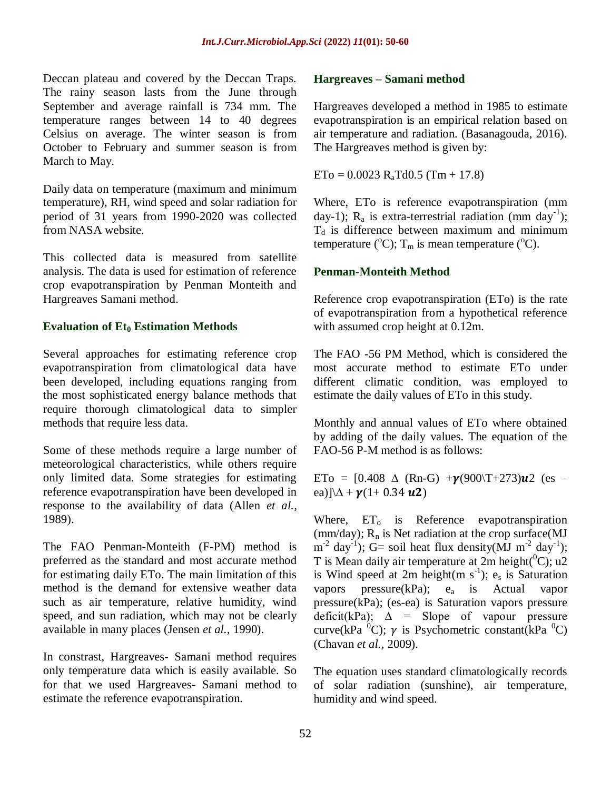Deccan plateau and covered by the Deccan Traps. The rainy season lasts from the June through September and average rainfall is 734 mm. The temperature ranges between 14 to 40 degrees Celsius on average. The winter season is from October to February and summer season is from March to May.

Daily data on temperature (maximum and minimum temperature), RH, wind speed and solar radiation for period of 31 years from 1990-2020 was collected from NASA website.

This collected data is measured from satellite analysis. The data is used for estimation of reference crop evapotranspiration by Penman Monteith and Hargreaves Samani method.

#### **Evaluation of Et<sup>0</sup> Estimation Methods**

Several approaches for estimating reference crop evapotranspiration from climatological data have been developed, including equations ranging from the most sophisticated energy balance methods that require thorough climatological data to simpler methods that require less data.

Some of these methods require a large number of meteorological characteristics, while others require only limited data. Some strategies for estimating reference evapotranspiration have been developed in response to the availability of data (Allen *et al.,* 1989).

The FAO Penman-Monteith (F-PM) method is preferred as the standard and most accurate method for estimating daily ETo. The main limitation of this method is the demand for extensive weather data such as air temperature, relative humidity, wind speed, and sun radiation, which may not be clearly available in many places (Jensen *et al.,* 1990).

In constrast, Hargreaves- Samani method requires only temperature data which is easily available. So for that we used Hargreaves- Samani method to estimate the reference evapotranspiration.

#### **Hargreaves – Samani method**

Hargreaves developed a method in 1985 to estimate evapotranspiration is an empirical relation based on air temperature and radiation. (Basanagouda, 2016). The Hargreaves method is given by:

 $ETo = 0.0023 R_a T d0.5 (Tm + 17.8)$ 

Where, ETo is reference evapotranspiration (mm day-1);  $R_a$  is extra-terrestrial radiation (mm day<sup>-1</sup>);  $T_d$  is difference between maximum and minimum temperature ( $^{\circ}$ C); T<sub>m</sub> is mean temperature ( $^{\circ}$ C).

#### **Penman-Monteith Method**

Reference crop evapotranspiration (ETo) is the rate of evapotranspiration from a hypothetical reference with assumed crop height at 0.12m.

The FAO -56 PM Method, which is considered the most accurate method to estimate ETo under different climatic condition, was employed to estimate the daily values of ETo in this study.

Monthly and annual values of ETo where obtained by adding of the daily values. The equation of the FAO-56 P-M method is as follows:

ETo =  $[0.408 \Delta (Rn-G) + \gamma(900)T+273)u2$  (es – ea)] $\Delta + \gamma (1 + 0.34 \text{ u2})$ 

Where,  $ET_0$  is Reference evapotranspiration (mm/day);  $R_n$  is Net radiation at the crop surface(MJ  $m^{-2}$  day<sup>-1</sup>); G= soil heat flux density(MJ m<sup>-2</sup> day<sup>-1</sup>); T is Mean daily air temperature at  $2m$  height( ${}^{0}C$ ); u2 is Wind speed at 2m height(m  $s^{-1}$ ); es is Saturation vapors pressure( $kPa$ ); e<sub>a</sub> is Actual vapor pressure(kPa); (es-ea) is Saturation vapors pressure deficit(kPa);  $\Delta$  = Slope of vapour pressure curve(kPa  ${}^{0}C$ );  $\gamma$  is Psychometric constant(kPa  ${}^{0}C$ ) (Chavan *et al.,* 2009).

The equation uses standard climatologically records of solar radiation (sunshine), air temperature, humidity and wind speed.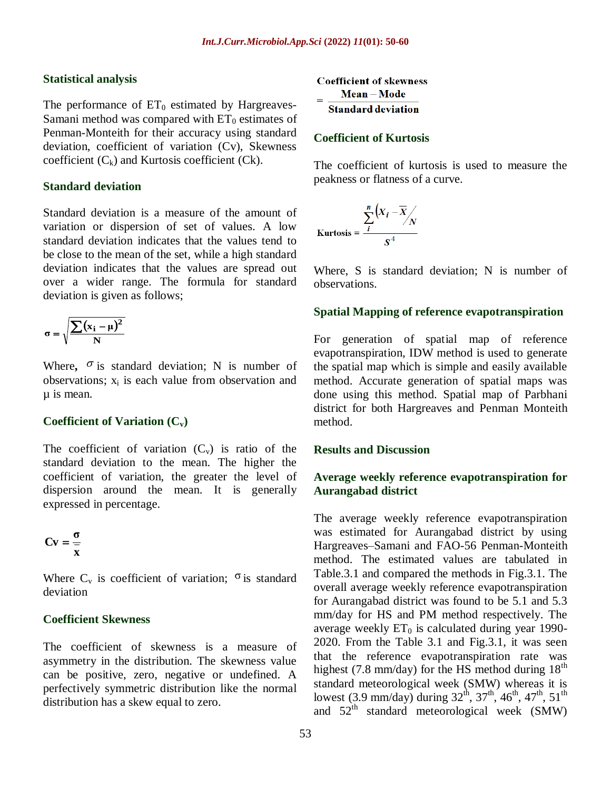#### **Statistical analysis**

The performance of  $ET_0$  estimated by Hargreaves-Samani method was compared with  $ET_0$  estimates of Penman-Monteith for their accuracy using standard deviation, coefficient of variation (Cv), Skewness coefficient  $(C_k)$  and Kurtosis coefficient  $(Ck)$ .

#### **Standard deviation**

Standard deviation is a measure of the amount of variation or dispersion of set of values. A low standard deviation indicates that the values tend to be close to the mean of the set, while a high standard deviation indicates that the values are spread out over a wider range. The formula for standard deviation is given as follows;

$$
\sigma = \sqrt{\frac{\sum (x_i - \mu)^2}{N}}
$$

Where,  $\sigma$  is standard deviation; N is number of observations;  $x_i$  is each value from observation and µ is mean.

#### **Coefficient of Variation (Cv)**

The coefficient of variation  $(C_v)$  is ratio of the standard deviation to the mean. The higher the coefficient of variation, the greater the level of dispersion around the mean. It is generally expressed in percentage.

$$
Cv = \frac{\sigma}{x}
$$

Where  $C_v$  is coefficient of variation;  $\sigma$  is standard deviation

#### **Coefficient Skewness**

The coefficient of skewness is a measure of asymmetry in the distribution. The skewness value can be positive, zero, negative or undefined. A perfectively symmetric distribution like the normal distribution has a skew equal to zero.

**Coefficient of skewness** Mean-Mode **Standard deviation** 

#### **Coefficient of Kurtosis**

The coefficient of kurtosis is used to measure the peakness or flatness of a curve.

$$
Kurtosis = \frac{\sum_{i}^{n} (X_i - \overline{X})}{S^4}
$$

Where, S is standard deviation: N is number of observations.

#### **Spatial Mapping of reference evapotranspiration**

For generation of spatial map of reference evapotranspiration, IDW method is used to generate the spatial map which is simple and easily available method. Accurate generation of spatial maps was done using this method. Spatial map of Parbhani district for both Hargreaves and Penman Monteith method.

#### **Results and Discussion**

#### **Average weekly reference evapotranspiration for Aurangabad district**

The average weekly reference evapotranspiration was estimated for Aurangabad district by using Hargreaves–Samani and FAO-56 Penman-Monteith method. The estimated values are tabulated in Table.3.1 and compared the methods in Fig.3.1. The overall average weekly reference evapotranspiration for Aurangabad district was found to be 5.1 and 5.3 mm/day for HS and PM method respectively. The average weekly  $ET_0$  is calculated during year 1990-2020. From the Table 3.1 and Fig.3.1, it was seen that the reference evapotranspiration rate was highest (7.8 mm/day) for the HS method during  $18<sup>th</sup>$ standard meteorological week (SMW) whereas it is lowest (3.9 mm/day) during  $32^{\text{th}}$ ,  $37^{\text{th}}$ ,  $46^{\text{th}}$ ,  $47^{\text{th}}$ ,  $51^{\text{th}}$ and  $52<sup>th</sup>$  standard meteorological week (SMW)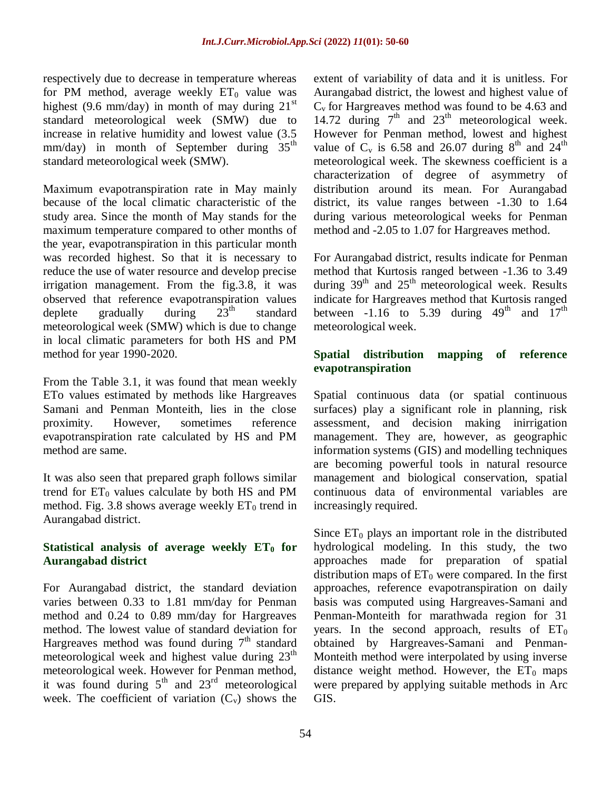respectively due to decrease in temperature whereas for PM method, average weekly  $ET_0$  value was highest (9.6 mm/day) in month of may during  $21<sup>st</sup>$ standard meteorological week (SMW) due to increase in relative humidity and lowest value (3.5 mm/day) in month of September during  $35<sup>th</sup>$ standard meteorological week (SMW).

Maximum evapotranspiration rate in May mainly because of the local climatic characteristic of the study area. Since the month of May stands for the maximum temperature compared to other months of the year, evapotranspiration in this particular month was recorded highest. So that it is necessary to reduce the use of water resource and develop precise irrigation management. From the fig.3.8, it was observed that reference evapotranspiration values deplete gradually during  $23<sup>th</sup>$  standard meteorological week (SMW) which is due to change in local climatic parameters for both HS and PM method for year 1990-2020.

From the Table 3.1, it was found that mean weekly ETo values estimated by methods like Hargreaves Samani and Penman Monteith, lies in the close proximity. However, sometimes reference evapotranspiration rate calculated by HS and PM method are same.

It was also seen that prepared graph follows similar trend for  $ET_0$  values calculate by both HS and PM method. Fig. 3.8 shows average weekly  $ET_0$  trend in Aurangabad district.

## **Statistical analysis of average weekly**  $ET_0$  **for Aurangabad district**

For Aurangabad district, the standard deviation varies between 0.33 to 1.81 mm/day for Penman method and 0.24 to 0.89 mm/day for Hargreaves method. The lowest value of standard deviation for Hargreaves method was found during  $7<sup>th</sup>$  standard meteorological week and highest value during  $23<sup>th</sup>$ meteorological week. However for Penman method, it was found during  $5<sup>th</sup>$  and  $23<sup>rd</sup>$  meteorological week. The coefficient of variation  $(C_v)$  shows the

extent of variability of data and it is unitless. For Aurangabad district, the lowest and highest value of  $C_v$  for Hargreaves method was found to be 4.63 and 14.72 during  $7<sup>th</sup>$  and  $23<sup>th</sup>$  meteorological week. However for Penman method, lowest and highest value of  $C_v$  is 6.58 and 26.07 during 8<sup>th</sup> and 24<sup>th</sup> meteorological week. The skewness coefficient is a characterization of degree of asymmetry of distribution around its mean. For Aurangabad district, its value ranges between -1.30 to 1.64 during various meteorological weeks for Penman method and -2.05 to 1.07 for Hargreaves method.

For Aurangabad district, results indicate for Penman method that Kurtosis ranged between -1.36 to 3.49 during  $39<sup>th</sup>$  and  $25<sup>th</sup>$  meteorological week. Results indicate for Hargreaves method that Kurtosis ranged between -1.16 to 5.39 during  $49<sup>th</sup>$  and  $17<sup>th</sup>$ meteorological week.

## **Spatial distribution mapping of reference evapotranspiration**

Spatial continuous data (or spatial continuous surfaces) play a significant role in planning, risk assessment, and decision making inirrigation management. They are, however, as geographic information systems (GIS) and modelling techniques are becoming powerful tools in natural resource management and biological conservation, spatial continuous data of environmental variables are increasingly required.

Since  $ET_0$  plays an important role in the distributed hydrological modeling. In this study, the two approaches made for preparation of spatial distribution maps of  $ET_0$  were compared. In the first approaches, reference evapotranspiration on daily basis was computed using Hargreaves-Samani and Penman-Monteith for marathwada region for 31 years. In the second approach, results of  $ET_0$ obtained by Hargreaves-Samani and Penman-Monteith method were interpolated by using inverse distance weight method. However, the  $ET_0$  maps were prepared by applying suitable methods in Arc GIS.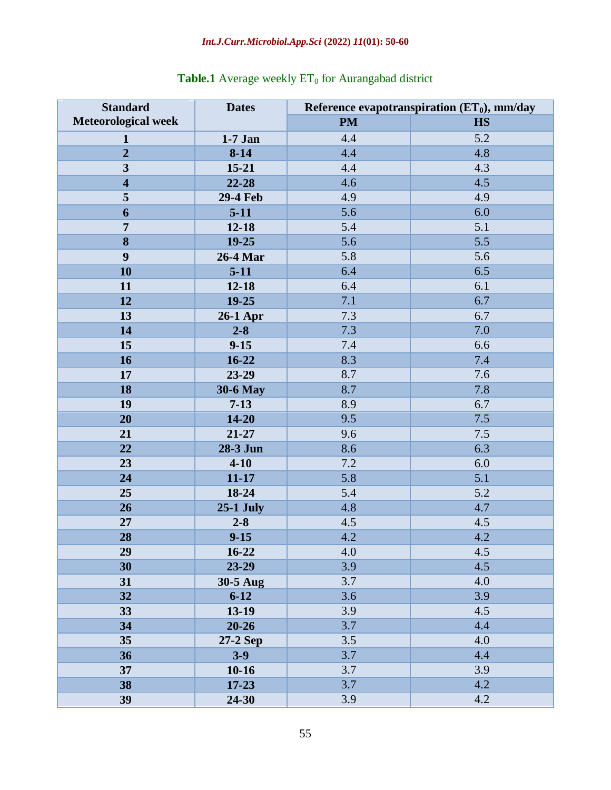## *Int.J.Curr.Microbiol.App.Sci* **(2022)** *11***(01): 50-60**

| <b>Standard</b>            | <b>Dates</b>     | Reference evapotranspiration $(ET_0)$ , mm/day |           |  |  |  |
|----------------------------|------------------|------------------------------------------------|-----------|--|--|--|
| <b>Meteorological week</b> |                  | <b>PM</b>                                      | <b>HS</b> |  |  |  |
| $\mathbf{1}$               | $1-7$ Jan        | 4.4                                            | 5.2       |  |  |  |
| $\overline{2}$             | $8 - 14$         | 4.4                                            | 4.8       |  |  |  |
| $\overline{\mathbf{3}}$    | $15 - 21$        | 4.4                                            | 4.3       |  |  |  |
| $\overline{\mathbf{4}}$    | 22-28            | 4.6                                            | 4.5       |  |  |  |
| 5                          | <b>29-4 Feb</b>  | 4.9                                            | 4.9       |  |  |  |
| 6                          | $5-11$           | 5.6                                            | 6.0       |  |  |  |
| $\overline{7}$             | $12 - 18$        | 5.4                                            | 5.1       |  |  |  |
| $\overline{\bf 8}$         | 19-25            | 5.6                                            | 5.5       |  |  |  |
| $\boldsymbol{9}$           | 26-4 Mar         | 5.8                                            | 5.6       |  |  |  |
| 10                         | $5-11$           | 6.4                                            | 6.5       |  |  |  |
| 11                         | $12 - 18$        | 6.4                                            | 6.1       |  |  |  |
| 12                         | 19-25            | 7.1                                            | 6.7       |  |  |  |
| 13                         | <b>26-1 Apr</b>  | 7.3                                            | 6.7       |  |  |  |
| 14                         | $2 - 8$          | 7.3                                            | 7.0       |  |  |  |
| 15                         | $9 - 15$         | 7.4                                            | 6.6       |  |  |  |
| 16                         | 16-22            | 8.3                                            | 7.4       |  |  |  |
| 17                         | 23-29            | 8.7                                            | 7.6       |  |  |  |
| 18                         | <b>30-6 May</b>  | 8.7                                            | 7.8       |  |  |  |
| 19                         | $7 - 13$         | 8.9                                            | 6.7       |  |  |  |
| 20                         | $14 - 20$        | 9.5                                            | 7.5       |  |  |  |
| 21                         | 21-27            | 9.6                                            | 7.5       |  |  |  |
| 22                         | 28-3 Jun         | 8.6                                            | 6.3       |  |  |  |
| 23                         | $4 - 10$         | 7.2                                            | 6.0       |  |  |  |
| 24                         | $11 - 17$        | 5.8                                            | 5.1       |  |  |  |
| 25                         | 18-24            | 5.4                                            | 5.2       |  |  |  |
| 26                         | <b>25-1 July</b> | 4.8                                            | 4.7       |  |  |  |
| 27                         | $2 - 8$          | 4.5                                            | 4.5       |  |  |  |
| 28                         | $9 - 15$         | 4.2                                            | 4.2       |  |  |  |
| 29                         | 16-22            | 4.0                                            | 4.5       |  |  |  |
| 30                         | 23-29            | 3.9                                            | 4.5       |  |  |  |
| 31                         | 30-5 Aug         | 3.7                                            | 4.0       |  |  |  |
| 32                         | $6 - 12$         | 3.6                                            | 3.9       |  |  |  |
| 33                         | 13-19            | 3.9                                            | 4.5       |  |  |  |
| 34                         | $20 - 26$        | 3.7                                            | 4.4       |  |  |  |
| 35                         | 27-2 Sep         | 3.5                                            | 4.0       |  |  |  |
| 36                         | $3-9$            | 3.7                                            | 4.4       |  |  |  |
| 37                         | $10-16$          | 3.7                                            | 3.9       |  |  |  |
| 38                         | $17 - 23$        | 3.7                                            | 4.2       |  |  |  |
| 39                         | 24-30            | 3.9                                            | 4.2       |  |  |  |

## **Table.1** Average weekly ET<sub>0</sub> for Aurangabad district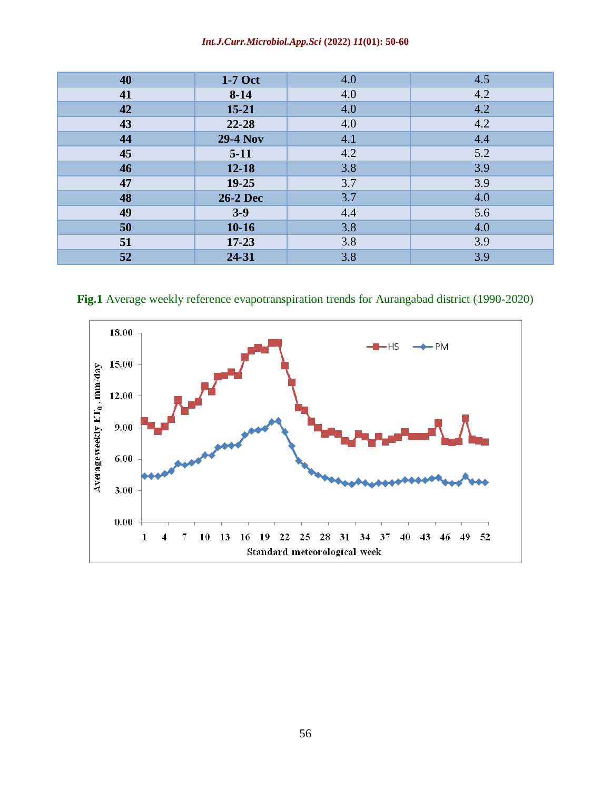#### *Int.J.Curr.Microbiol.App.Sci* **(2022)** *11***(01): 50-60**

| 40 | $1-7$ Oct       | 4.0 | 4.5 |
|----|-----------------|-----|-----|
| 41 | $8-14$          | 4.0 | 4.2 |
| 42 | $15 - 21$       | 4.0 | 4.2 |
| 43 | $22 - 28$       | 4.0 | 4.2 |
| 44 | <b>29-4 Nov</b> | 4.1 | 4.4 |
| 45 | $5-11$          | 4.2 | 5.2 |
| 46 | $12 - 18$       | 3.8 | 3.9 |
| 47 | $19 - 25$       | 3.7 | 3.9 |
| 48 | <b>26-2 Dec</b> | 3.7 | 4.0 |
| 49 | $3-9$           | 4.4 | 5.6 |
| 50 | $10 - 16$       | 3.8 | 4.0 |
| 51 | $17 - 23$       | 3.8 | 3.9 |
| 52 | 24-31           | 3.8 | 3.9 |

**Fig.1** Average weekly reference evapotranspiration trends for Aurangabad district (1990-2020)

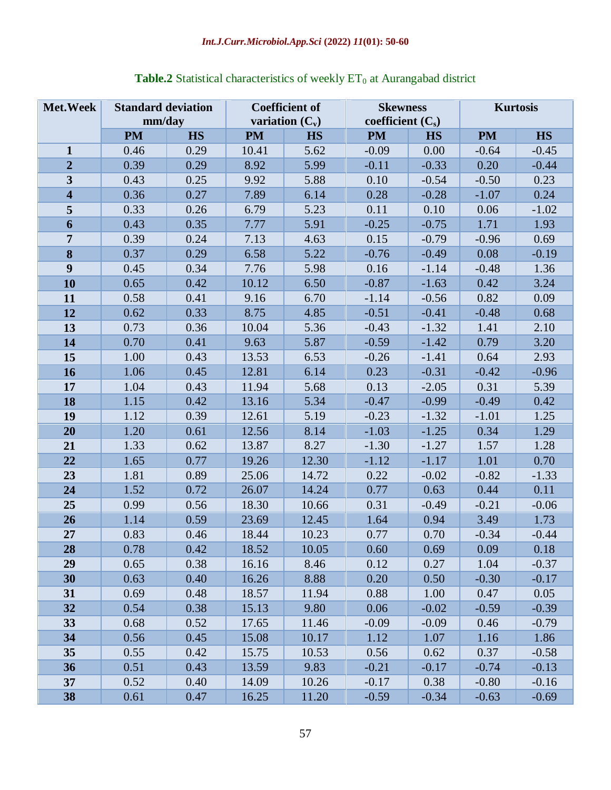| Met. Week               | <b>Standard deviation</b><br>mm/day |           | <b>Coefficient of</b><br>variation $(C_v)$ |           | <b>Skewness</b><br>coefficient $(C_s)$ |           | <b>Kurtosis</b> |           |
|-------------------------|-------------------------------------|-----------|--------------------------------------------|-----------|----------------------------------------|-----------|-----------------|-----------|
|                         | <b>PM</b>                           | <b>HS</b> | <b>PM</b>                                  | <b>HS</b> | <b>PM</b>                              | <b>HS</b> | <b>PM</b>       | <b>HS</b> |
| $\mathbf{1}$            | 0.46                                | 0.29      | 10.41                                      | 5.62      | $-0.09$                                | 0.00      | $-0.64$         | $-0.45$   |
| $\overline{2}$          | 0.39                                | 0.29      | 8.92                                       | 5.99      | $-0.11$                                | $-0.33$   | 0.20            | $-0.44$   |
| $\mathbf{3}$            | 0.43                                | 0.25      | 9.92                                       | 5.88      | 0.10                                   | $-0.54$   | $-0.50$         | 0.23      |
| $\overline{\mathbf{4}}$ | 0.36                                | 0.27      | 7.89                                       | 6.14      | 0.28                                   | $-0.28$   | $-1.07$         | 0.24      |
| $\overline{\mathbf{5}}$ | 0.33                                | 0.26      | 6.79                                       | 5.23      | 0.11                                   | 0.10      | 0.06            | $-1.02$   |
| 6                       | 0.43                                | 0.35      | 7.77                                       | 5.91      | $-0.25$                                | $-0.75$   | 1.71            | 1.93      |
| $\overline{7}$          | 0.39                                | 0.24      | 7.13                                       | 4.63      | 0.15                                   | $-0.79$   | $-0.96$         | 0.69      |
| 8                       | 0.37                                | 0.29      | 6.58                                       | 5.22      | $-0.76$                                | $-0.49$   | 0.08            | $-0.19$   |
| 9                       | 0.45                                | 0.34      | 7.76                                       | 5.98      | 0.16                                   | $-1.14$   | $-0.48$         | 1.36      |
| 10                      | 0.65                                | 0.42      | 10.12                                      | 6.50      | $-0.87$                                | $-1.63$   | 0.42            | 3.24      |
| 11                      | 0.58                                | 0.41      | 9.16                                       | 6.70      | $-1.14$                                | $-0.56$   | 0.82            | 0.09      |
| 12                      | 0.62                                | 0.33      | 8.75                                       | 4.85      | $-0.51$                                | $-0.41$   | $-0.48$         | 0.68      |
| 13                      | 0.73                                | 0.36      | 10.04                                      | 5.36      | $-0.43$                                | $-1.32$   | 1.41            | 2.10      |
| 14                      | 0.70                                | 0.41      | 9.63                                       | 5.87      | $-0.59$                                | $-1.42$   | 0.79            | 3.20      |
| 15                      | 1.00                                | 0.43      | 13.53                                      | 6.53      | $-0.26$                                | $-1.41$   | 0.64            | 2.93      |
| 16                      | 1.06                                | 0.45      | 12.81                                      | 6.14      | 0.23                                   | $-0.31$   | $-0.42$         | $-0.96$   |
| 17                      | 1.04                                | 0.43      | 11.94                                      | 5.68      | 0.13                                   | $-2.05$   | 0.31            | 5.39      |
| 18                      | 1.15                                | 0.42      | 13.16                                      | 5.34      | $-0.47$                                | $-0.99$   | $-0.49$         | 0.42      |
| 19                      | 1.12                                | 0.39      | 12.61                                      | 5.19      | $-0.23$                                | $-1.32$   | $-1.01$         | 1.25      |
| 20                      | 1.20                                | 0.61      | 12.56                                      | 8.14      | $-1.03$                                | $-1.25$   | 0.34            | 1.29      |
| 21                      | 1.33                                | 0.62      | 13.87                                      | 8.27      | $-1.30$                                | $-1.27$   | 1.57            | 1.28      |
| 22                      | 1.65                                | 0.77      | 19.26                                      | 12.30     | $-1.12$                                | $-1.17$   | 1.01            | 0.70      |
| 23                      | 1.81                                | 0.89      | 25.06                                      | 14.72     | 0.22                                   | $-0.02$   | $-0.82$         | $-1.33$   |
| 24                      | 1.52                                | 0.72      | 26.07                                      | 14.24     | 0.77                                   | 0.63      | 0.44            | 0.11      |
| 25                      | 0.99                                | 0.56      | 18.30                                      | 10.66     | 0.31                                   | $-0.49$   | $-0.21$         | $-0.06$   |
| 26                      | 1.14                                | 0.59      | 23.69                                      | 12.45     | 1.64                                   | 0.94      | 3.49            | 1.73      |
| 27                      | 0.83                                | 0.46      | 18.44                                      | 10.23     | 0.77                                   | 0.70      | $-0.34$         | $-0.44$   |
| 28                      | 0.78                                | 0.42      | 18.52                                      | 10.05     | 0.60                                   | 0.69      | 0.09            | 0.18      |
| 29                      | 0.65                                | 0.38      | 16.16                                      | 8.46      | 0.12                                   | 0.27      | 1.04            | $-0.37$   |
| 30                      | 0.63                                | 0.40      | 16.26                                      | 8.88      | 0.20                                   | 0.50      | $-0.30$         | $-0.17$   |
| 31                      | 0.69                                | 0.48      | 18.57                                      | 11.94     | 0.88                                   | 1.00      | 0.47            | 0.05      |
| 32                      | 0.54                                | 0.38      | 15.13                                      | 9.80      | 0.06                                   | $-0.02$   | $-0.59$         | $-0.39$   |
| 33                      | 0.68                                | 0.52      | 17.65                                      | 11.46     | $-0.09$                                | $-0.09$   | 0.46            | $-0.79$   |
| 34                      | 0.56                                | 0.45      | 15.08                                      | 10.17     | 1.12                                   | 1.07      | 1.16            | 1.86      |
| 35                      | 0.55                                | 0.42      | 15.75                                      | 10.53     | 0.56                                   | 0.62      | 0.37            | $-0.58$   |
| 36                      | 0.51                                | 0.43      | 13.59                                      | 9.83      | $-0.21$                                | $-0.17$   | $-0.74$         | $-0.13$   |
| 37                      | 0.52                                | 0.40      | 14.09                                      | 10.26     | $-0.17$                                | 0.38      | $-0.80$         | $-0.16$   |
| 38                      | 0.61                                | 0.47      | 16.25                                      | 11.20     | $-0.59$                                | $-0.34$   | $-0.63$         | $-0.69$   |

# **Table.2** Statistical characteristics of weekly  $ET_0$  at Aurangabad district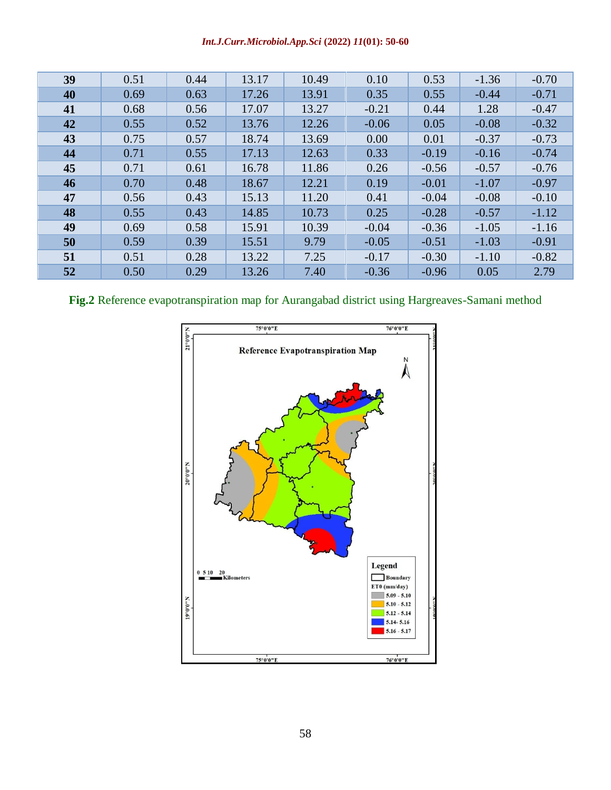#### *Int.J.Curr.Microbiol.App.Sci* **(2022)** *11***(01): 50-60**

| 39 | 0.51 | 0.44 | 13.17 | 10.49 | 0.10    | 0.53    | $-1.36$ | $-0.70$ |
|----|------|------|-------|-------|---------|---------|---------|---------|
| 40 | 0.69 | 0.63 | 17.26 | 13.91 | 0.35    | 0.55    | $-0.44$ | $-0.71$ |
| 41 | 0.68 | 0.56 | 17.07 | 13.27 | $-0.21$ | 0.44    | 1.28    | $-0.47$ |
| 42 | 0.55 | 0.52 | 13.76 | 12.26 | $-0.06$ | 0.05    | $-0.08$ | $-0.32$ |
| 43 | 0.75 | 0.57 | 18.74 | 13.69 | 0.00    | 0.01    | $-0.37$ | $-0.73$ |
| 44 | 0.71 | 0.55 | 17.13 | 12.63 | 0.33    | $-0.19$ | $-0.16$ | $-0.74$ |
| 45 | 0.71 | 0.61 | 16.78 | 11.86 | 0.26    | $-0.56$ | $-0.57$ | $-0.76$ |
| 46 | 0.70 | 0.48 | 18.67 | 12.21 | 0.19    | $-0.01$ | $-1.07$ | $-0.97$ |
| 47 | 0.56 | 0.43 | 15.13 | 11.20 | 0.41    | $-0.04$ | $-0.08$ | $-0.10$ |
| 48 | 0.55 | 0.43 | 14.85 | 10.73 | 0.25    | $-0.28$ | $-0.57$ | $-1.12$ |
| 49 | 0.69 | 0.58 | 15.91 | 10.39 | $-0.04$ | $-0.36$ | $-1.05$ | $-1.16$ |
| 50 | 0.59 | 0.39 | 15.51 | 9.79  | $-0.05$ | $-0.51$ | $-1.03$ | $-0.91$ |
| 51 | 0.51 | 0.28 | 13.22 | 7.25  | $-0.17$ | $-0.30$ | $-1.10$ | $-0.82$ |
| 52 | 0.50 | 0.29 | 13.26 | 7.40  | $-0.36$ | $-0.96$ | 0.05    | 2.79    |

## **Fig.2** Reference evapotranspiration map for Aurangabad district using Hargreaves-Samani method

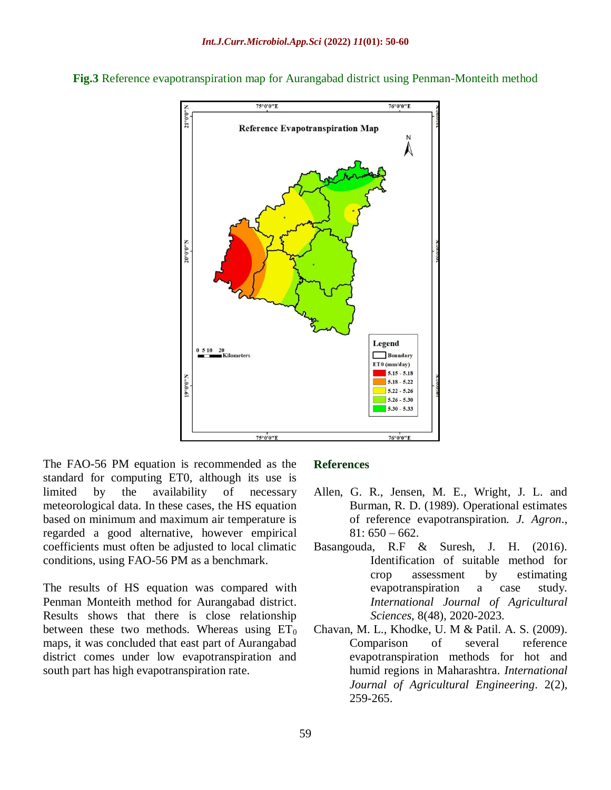

**Fig.3** Reference evapotranspiration map for Aurangabad district using Penman-Monteith method

The FAO-56 PM equation is recommended as the standard for computing ET0, although its use is limited by the availability of necessary meteorological data. In these cases, the HS equation based on minimum and maximum air temperature is regarded a good alternative, however empirical coefficients must often be adjusted to local climatic conditions, using FAO-56 PM as a benchmark.

The results of HS equation was compared with Penman Monteith method for Aurangabad district. Results shows that there is close relationship between these two methods. Whereas using  $ET_0$ maps, it was concluded that east part of Aurangabad district comes under low evapotranspiration and south part has high evapotranspiration rate.

#### **References**

- Allen, G. R., Jensen, M. E., Wright, J. L. and Burman, R. D. (1989). Operational estimates of reference evapotranspiration. *J. Agron*.,  $81:650 - 662.$
- Basangouda, R.F & Suresh, J. H. (2016). Identification of suitable method for crop assessment by estimating evapotranspiration a case study. *International Journal of Agricultural Sciences*, 8(48), 2020-2023.
- Chavan, M. L., Khodke, U. M & Patil. A. S. (2009). Comparison of several reference evapotranspiration methods for hot and humid regions in Maharashtra. *International Journal of Agricultural Engineering*. 2(2), 259-265.